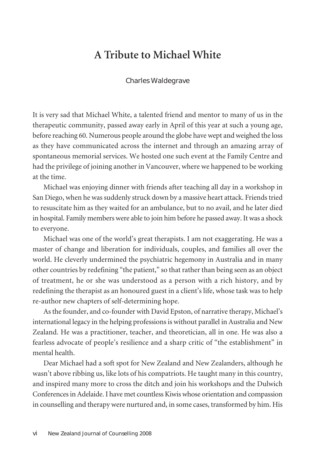## **A Tribute to Michael White**

## Charles Waldegrave

It is very sad that Michael White, a talented friend and mentor to many of us in the therapeutic community, passed away early in April of this year at such a young age, before reaching 60. Numerous people around the globe have wept and weighed the loss as they have communicated across the internet and through an amazing array of spontaneous memorial services. We hosted one such event at the Family Centre and had the privilege of joining another in Vancouver, where we happened to be working at the time.

Michael was enjoying dinner with friends after teaching all day in a workshop in San Diego, when he was suddenly struck down by a massive heart attack. Friends tried to resuscitate him as they waited for an ambulance, but to no avail, and he later died in hospital. Family members were able to join him before he passed away. It was a shock to everyone.

Michael was one of the world's great therapists. I am not exaggerating. He was a master of change and liberation for individuals, couples, and families all over the world. He cleverly undermined the psychiatric hegemony in Australia and in many other countries by redefining "the patient," so thatratherthan being seen as an object of treatment, he or she was understood as a person with a rich history, and by redefining the therapist as an honoured guest in a client's life, whose task was to help re-author new chapters of self-determining hope.

Asthe founder, and co-founder with David Epston, of narrative therapy, Michael's international legacy in the helping professions is without parallel in Australia and New Zealand. He was a practitioner, teacher, and theoretician, all in one. He was also a fearless advocate of people's resilience and a sharp critic of "the establishment" in mental health.

Dear Michael had a soft spot for New Zealand and New Zealanders, although he wasn't above ribbing us, like lots of his compatriots. He taught many in this country, and inspired many more to cross the ditch and join his workshops and the Dulwich Conferencesin Adelaide. I have met countless Kiwiswhose orientation and compassion in counselling and therapy were nurtured and, in some cases, transformed by him. His